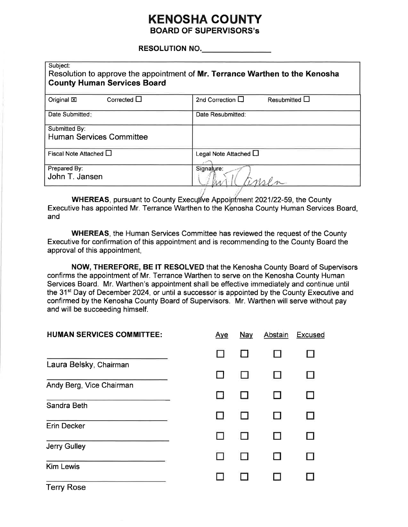### **KENOSHA COUNTY BOARD OF SUPERVISORS's**

#### **RESOLUTION NO. RESOLUTION NO.**

| Subject:<br>Resolution to approve the appointment of Mr. Terrance Warthen to the Kenosha<br><b>County Human Services Board</b> |                                        |  |
|--------------------------------------------------------------------------------------------------------------------------------|----------------------------------------|--|
| Corrected $\square$<br>Original XI                                                                                             | 2nd Correction $\Box$<br>Resubmitted L |  |
| Date Submitted:                                                                                                                | Date Resubmitted:                      |  |
| Submitted By:<br><b>Human Services Committee</b>                                                                               |                                        |  |
| Fiscal Note Attached $\square$                                                                                                 | Legal Note Attached L                  |  |
| Prepared By:<br>John T. Jansen                                                                                                 | Signature:                             |  |

WHEREAS, pursuant to County Executive Appointment 2021/22-59, the County Executive has appointed Mr. Terrance Warthen to the Kenosha County Human Services Board, and

**WHEREAS, the Human Services Committee has reviewed the request of the County** Executive for confirmation of this appointment and is recommending to the County Board the approval of this appointment,

NOW, THEREFORE, BE IT RESOLVED that the Kenosha County Board of Supervisors confirms the appointment of Mr. Terrance Warthen to serve on the Kenosha County Human Services Board. Mr. Warthen's appointment shall be effective immediately and continue until the 31<sup>st</sup> Day of December 2024, or until a successor is appointed by the County Executive and confirmed by the Kenosha County Board of Supervisors. Mr. Warthen will serve without pay and will be succeeding himself.

| <b>HUMAN SERVICES COMMITTEE:</b>  | Aye | <b>Nay</b> | Abstain | Excused |
|-----------------------------------|-----|------------|---------|---------|
|                                   |     |            |         |         |
| Laura Belsky, Chairman            |     |            |         |         |
| Andy Berg, Vice Chairman          |     |            |         | П       |
| Sandra Beth                       |     |            |         |         |
| <b>Erin Decker</b>                |     |            |         |         |
| Jerry Gulley                      |     |            |         |         |
| <b>Kim Lewis</b>                  |     |            |         |         |
| $T_{\text{a}}$ and $R_{\text{a}}$ |     |            |         |         |

Terry Rose<sup>.</sup>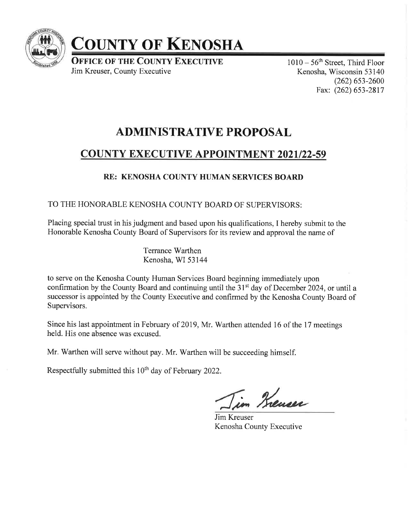

# COUNTY OF KENOSHA

**OFFICE OF THE COUNTY EXECUTIVE** Jim Kreuser, County Executive

 $1010-56$ <sup>th</sup> Street, Third Floor Kenosha, Wisconsin 53140  $(262)$  653-2600 Fax: (262) 653-2817

# ADMINISTRATIVE PROPOSAL

## COUNTY EXECUTIVE APPOINTMENT 2021/22-59

### RE: KENOSHA COUNTY HUMAN SERVICES BOARI)

TO THE HONORABLE KENOSHA COUNTY BOARD OF SUPERVISORS:

Placing special trust in his judgment and based upon his qualifications, I hereby submit to the Honorable Kenosha County Board of Supervisors for its review and approval the name of

> Terrance Warthen Kenosha, WI 53144

to serve on the Kenosha County Human Services Board beginning immediately upon confirmation by the County Board and continuing until the 31<sup>st</sup> day of December 2024, or until a successor is appointed by the County Executive and confirmed by the Kenosha County Board of Supervisors.

Since his last appointment in February of 2019, Mr. Warthen attended 16 of the 17 meetings held. His one absence was excused.

Mr. Warthen will serve without pay. Mr. Warthen will be succeeding himself.

Respectfully submitted this  $10<sup>th</sup>$  day of February 2022.

in Kreuser

Jim Kreuser Kenosha County Executive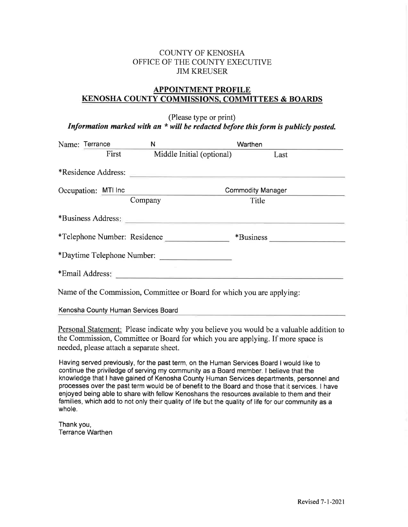### COTINTY OF KENOSHA OFFICE OF THE COUNTY EXECUTIVE JIM KREUSER

### APPOINTMENT PROFILE KENOSHA COUNTY COMMISSIONS. COMMITTEES & BOARDS

(Please type or print) Information marked with an  $*$  will be redacted before this form is publicly posted.

| Name: Terrance               |       | N                                                                                                                                                                                                                              |                           | Warthen                                                                |
|------------------------------|-------|--------------------------------------------------------------------------------------------------------------------------------------------------------------------------------------------------------------------------------|---------------------------|------------------------------------------------------------------------|
|                              | First |                                                                                                                                                                                                                                | Middle Initial (optional) | Last                                                                   |
| *Residence Address:          |       |                                                                                                                                                                                                                                |                           |                                                                        |
| Occupation: MTI Inc          |       |                                                                                                                                                                                                                                |                           | <b>Commodity Manager</b>                                               |
|                              |       | Company                                                                                                                                                                                                                        |                           | Title                                                                  |
|                              |       | *Business Address:                                                                                                                                                                                                             |                           |                                                                        |
| *Telephone Number: Residence |       |                                                                                                                                                                                                                                |                           | *Business                                                              |
| *Daytime Telephone Number:   |       |                                                                                                                                                                                                                                |                           |                                                                        |
|                              |       | *Email Address: The Contract of the Contract of the Contract of the Contract of the Contract of the Contract of the Contract of the Contract of the Contract of the Contract of the Contract of the Contract of the Contract o |                           |                                                                        |
|                              |       |                                                                                                                                                                                                                                |                           | Name of the Commission, Committee or Board for which you are applying: |

Kenosha County Human Services Board

Personal Statement: Please indicate why you believe you would be a valuable addition to the Commission, Committee or Board for which you are applying. If more space is needed, please attach a separate sheet.

Having served previously, for the past term, on the Human Services Board I would like to continue the priviledge of serving my community as a Board member. I believe that the knowledge that I have gained of Kenosha County Human Services departments, personnel and processes over the past term would be of benefit to the Board and those that it services. I have enjoyed being able to share with fellow Kenoshans the resources available to them and their families, which add to not only their quality of life but the quality of life for our community as a whole.

Thank you, Terrance Warthen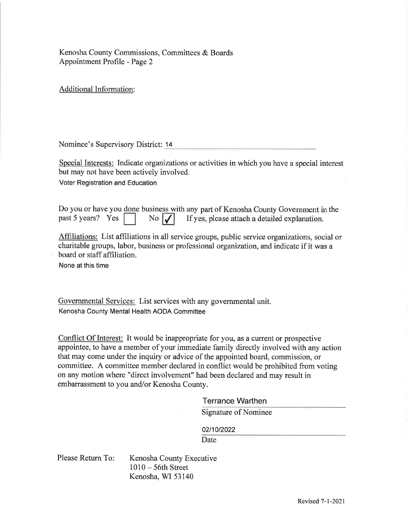Kenosha County Commissions, Committees & Boards Appointment Profile - Page 2

Additional Information:

Nominee's Supervisory District: 14

Special Interests: Indicate organizations or activities in which you have a special interest but may not have been actively involved.

Voter Registration and Education

Do you or have you done business with any part of Kenosha County Government in the past 5 years? Yes No  $\vert \textbf{I} \vert$  If yes, please attach a detailed explanation.

Affiliations: List affiliations in all service groups, public service organizations, social or charitable groups, labor, busincss or profcssional organization, and indicate if it was a board or staff affiliation.

None at this time

Governmental Services: List services with any governmental unit. Kenosha County Mental Health AODA Committee

Conflict Of Interest: It would be inappropriate for you, as a current or prospective appointee, to have a member of your immediate family directly involved with any action that may come under the inquiry or advice of the appointed board, commission, or committee. A committee member declared in conflict would be prohibited from voting on any motion where "direct involvement" had been declared and may result in embarrassment to you and/or Kenosha County.

#### Terrance Warthen

Signature of Nominee

02/10/2022

Date

Kenosha County Executive  $1010 - 56$ th Street Kenosha, WI 53140 Please Return To: